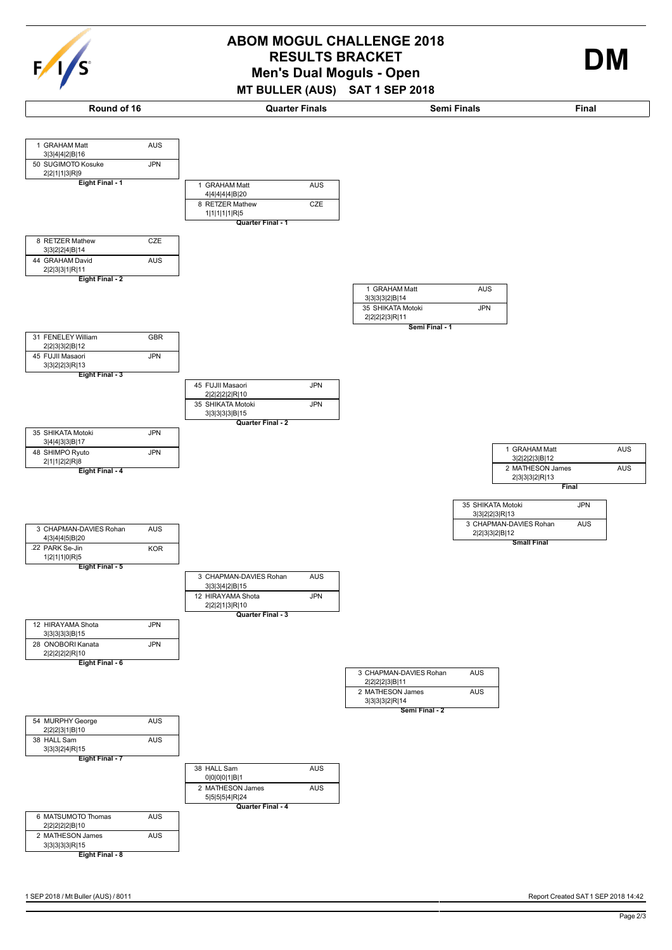

| c<br>c |  |  |
|--------|--|--|
|--------|--|--|



## RESULTS BRACKET<br>
Men's Dual Moguls - Open **ABOM MOGUL CHALLENGE 2018**

**MT BULLER (AUS) SAT 1 SEP 2018**



**Round of 16 Quarter Finals Semi Finals Final**

1 GRAHAM Matt AUS

3|3|4|4|2|B|16

 $F/I/S$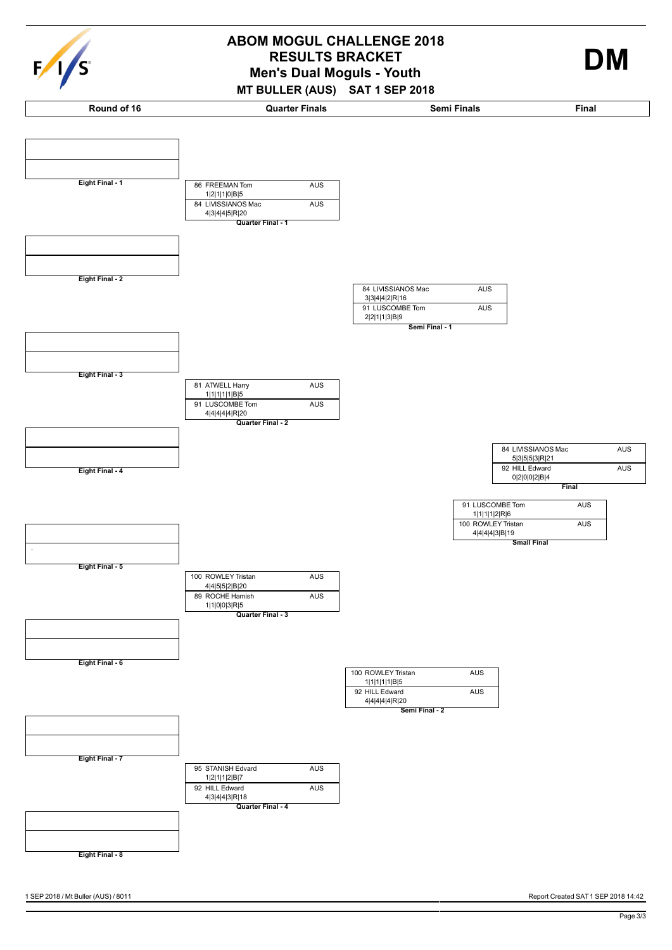

## **Men's Dual Moguls - Youth ABOM MOGUL CHALLENGE 2018 RESULTS BRACKET DM**

**MT BULLER (AUS) SAT 1 SEP 2018**



1 SEP 2018 / Mt Buller (AUS) / 8011 Report Created SAT 1 SEP 2018 14:42